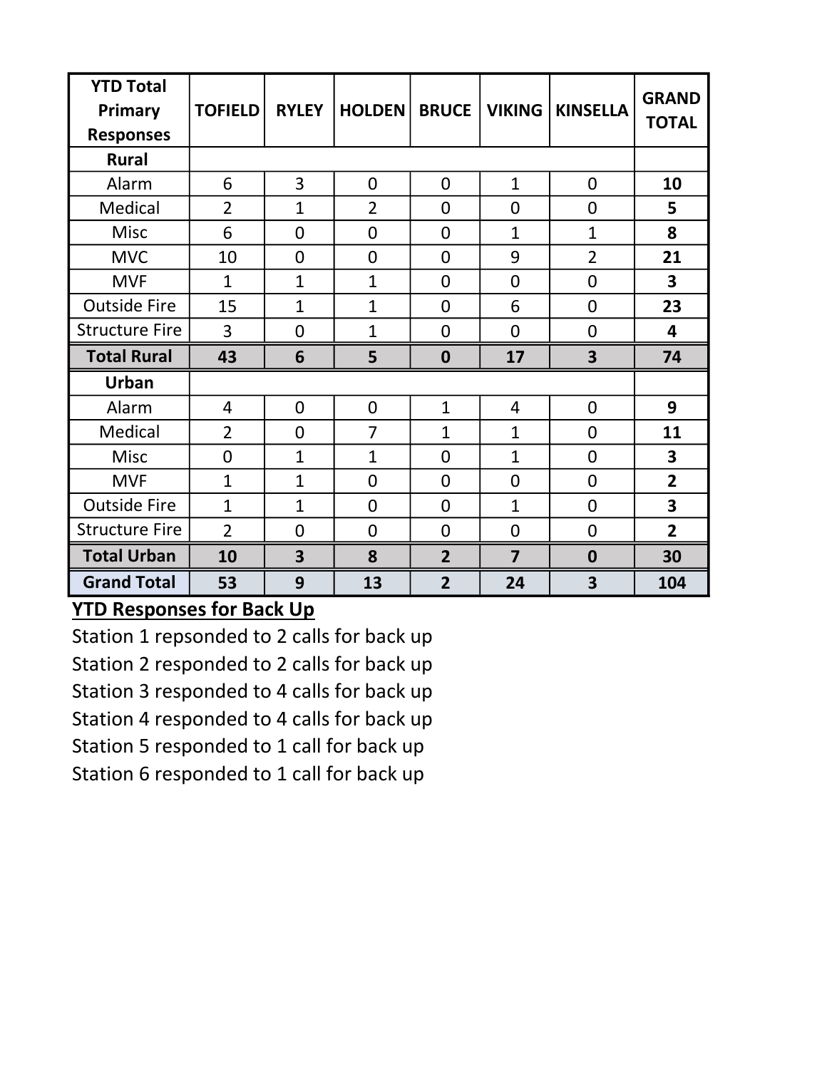| <b>YTD Total</b><br>Primary<br><b>Responses</b> | <b>TOFIELD</b> | <b>RYLEY</b>            | <b>HOLDEN</b>  | <b>BRUCE</b>     | <b>VIKING</b>  | <b>KINSELLA</b>         | <b>GRAND</b><br><b>TOTAL</b> |
|-------------------------------------------------|----------------|-------------------------|----------------|------------------|----------------|-------------------------|------------------------------|
| <b>Rural</b>                                    |                |                         |                |                  |                |                         |                              |
| Alarm                                           | 6              | 3                       | $\overline{0}$ | $\overline{0}$   | $\mathbf{1}$   | $\overline{0}$          | 10                           |
| Medical                                         | $\overline{2}$ | $\mathbf{1}$            | $\overline{2}$ | $\overline{0}$   | 0              | $\mathbf 0$             | 5                            |
| Misc                                            | 6              | $\overline{0}$          | $\overline{0}$ | $\overline{0}$   | $\mathbf{1}$   | $\mathbf{1}$            | 8                            |
| <b>MVC</b>                                      | 10             | $\overline{0}$          | $\overline{0}$ | $\overline{0}$   | 9              | $\overline{2}$          | 21                           |
| <b>MVF</b>                                      | $\mathbf{1}$   | $\mathbf{1}$            | $\mathbf{1}$   | $\overline{0}$   | $\overline{0}$ | $\overline{0}$          | 3                            |
| <b>Outside Fire</b>                             | 15             | $\mathbf{1}$            | $\overline{1}$ | 0                | 6              | 0                       | 23                           |
| <b>Structure Fire</b>                           | 3              | $\overline{0}$          | $\overline{1}$ | $\overline{0}$   | $\overline{0}$ | $\overline{0}$          | 4                            |
| <b>Total Rural</b>                              | 43             | 6                       | 5              | $\boldsymbol{0}$ | 17             | $\overline{\mathbf{3}}$ | 74                           |
| <b>Urban</b>                                    |                |                         |                |                  |                |                         |                              |
| Alarm                                           | 4              | $\overline{0}$          | $\overline{0}$ | $\mathbf{1}$     | 4              | $\overline{0}$          | 9                            |
| Medical                                         | $\overline{2}$ | $\overline{0}$          | $\overline{7}$ | $\overline{1}$   | $\mathbf{1}$   | $\overline{0}$          | 11                           |
| Misc                                            | $\overline{0}$ | $\mathbf{1}$            | $\overline{1}$ | $\overline{0}$   | $\mathbf{1}$   | $\overline{0}$          | 3                            |
| <b>MVF</b>                                      | $\mathbf{1}$   | $\mathbf{1}$            | $\overline{0}$ | $\overline{0}$   | 0              | $\overline{0}$          | $\overline{2}$               |
| <b>Outside Fire</b>                             | $\mathbf{1}$   | $\mathbf{1}$            | $\overline{0}$ | $\overline{0}$   | $\mathbf{1}$   | $\overline{0}$          | 3                            |
| <b>Structure Fire</b>                           | $\overline{2}$ | $\mathbf 0$             | $\mathbf 0$    | $\mathbf 0$      | $\mathbf 0$    | $\mathbf 0$             | $\overline{2}$               |
| <b>Total Urban</b>                              | 10             | $\overline{\mathbf{3}}$ | 8              | $\overline{2}$   | $\overline{7}$ | $\boldsymbol{0}$        | 30                           |
| <b>Grand Total</b>                              | 53             | 9                       | 13             | $\overline{2}$   | 24             | 3                       | 104                          |

## YTD Responses for Back Up

Station 1 repsonded to 2 calls for back up Station 2 responded to 2 calls for back up Station 3 responded to 4 calls for back up Station 4 responded to 4 calls for back up Station 5 responded to 1 call for back up Station 6 responded to 1 call for back up